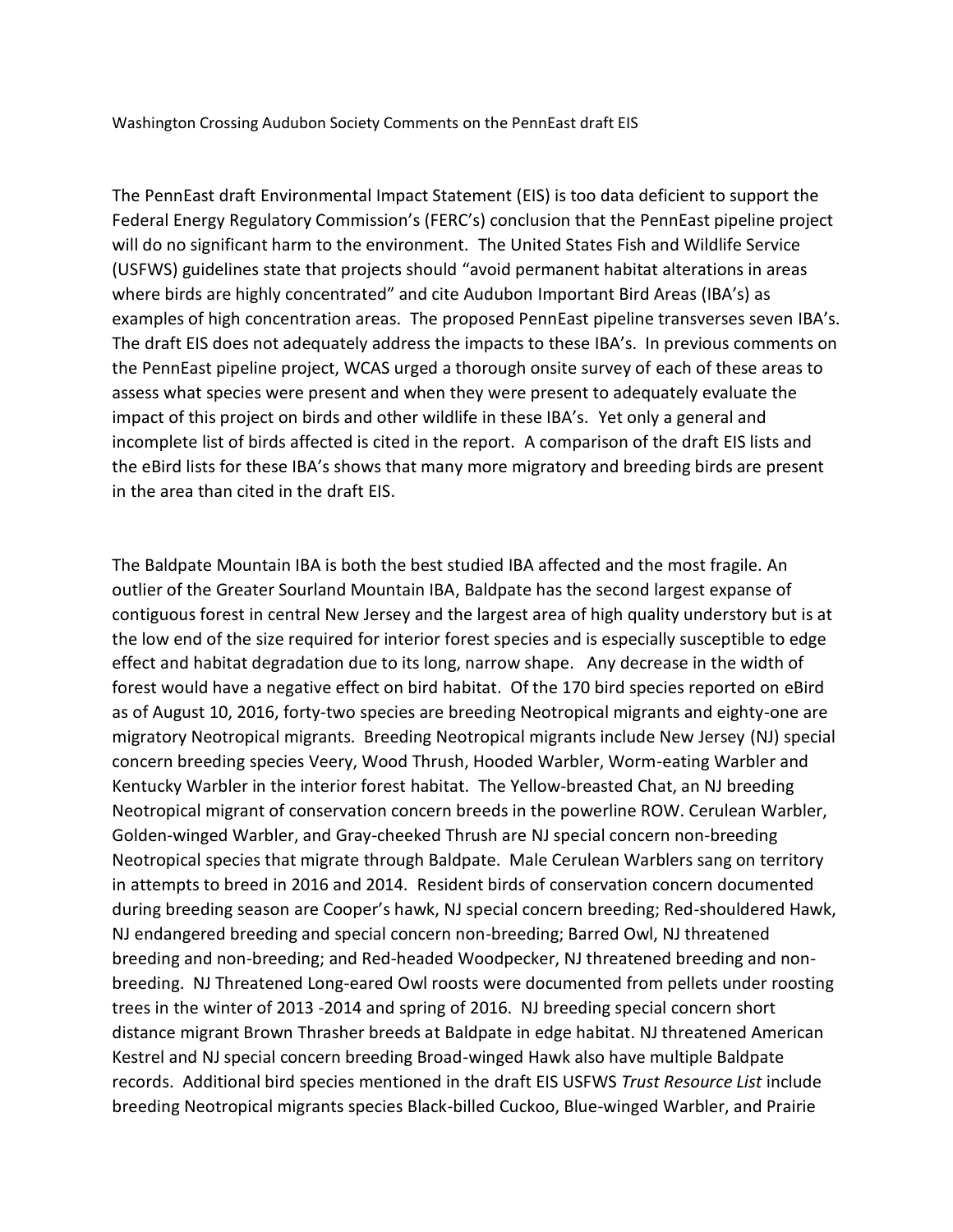Washington Crossing Audubon Society Comments on the PennEast draft EIS

The PennEast draft Environmental Impact Statement (EIS) is too data deficient to support the Federal Energy Regulatory Commission's (FERC's) conclusion that the PennEast pipeline project will do no significant harm to the environment. The United States Fish and Wildlife Service (USFWS) guidelines state that projects should "avoid permanent habitat alterations in areas where birds are highly concentrated" and cite Audubon Important Bird Areas (IBA's) as examples of high concentration areas. The proposed PennEast pipeline transverses seven IBA's. The draft EIS does not adequately address the impacts to these IBA's. In previous comments on the PennEast pipeline project, WCAS urged a thorough onsite survey of each of these areas to assess what species were present and when they were present to adequately evaluate the impact of this project on birds and other wildlife in these IBA's. Yet only a general and incomplete list of birds affected is cited in the report. A comparison of the draft EIS lists and the eBird lists for these IBA's shows that many more migratory and breeding birds are present in the area than cited in the draft EIS.

The Baldpate Mountain IBA is both the best studied IBA affected and the most fragile. An outlier of the Greater Sourland Mountain IBA, Baldpate has the second largest expanse of contiguous forest in central New Jersey and the largest area of high quality understory but is at the low end of the size required for interior forest species and is especially susceptible to edge effect and habitat degradation due to its long, narrow shape. Any decrease in the width of forest would have a negative effect on bird habitat. Of the 170 bird species reported on eBird as of August 10, 2016, forty-two species are breeding Neotropical migrants and eighty-one are migratory Neotropical migrants. Breeding Neotropical migrants include New Jersey (NJ) special concern breeding species Veery, Wood Thrush, Hooded Warbler, Worm-eating Warbler and Kentucky Warbler in the interior forest habitat. The Yellow-breasted Chat, an NJ breeding Neotropical migrant of conservation concern breeds in the powerline ROW. Cerulean Warbler, Golden-winged Warbler, and Gray-cheeked Thrush are NJ special concern non-breeding Neotropical species that migrate through Baldpate. Male Cerulean Warblers sang on territory in attempts to breed in 2016 and 2014. Resident birds of conservation concern documented during breeding season are Cooper's hawk, NJ special concern breeding; Red-shouldered Hawk, NJ endangered breeding and special concern non-breeding; Barred Owl, NJ threatened breeding and non-breeding; and Red-headed Woodpecker, NJ threatened breeding and nonbreeding. NJ Threatened Long-eared Owl roosts were documented from pellets under roosting trees in the winter of 2013 -2014 and spring of 2016. NJ breeding special concern short distance migrant Brown Thrasher breeds at Baldpate in edge habitat. NJ threatened American Kestrel and NJ special concern breeding Broad-winged Hawk also have multiple Baldpate records. Additional bird species mentioned in the draft EIS USFWS *Trust Resource List* include breeding Neotropical migrants species Black-billed Cuckoo, Blue-winged Warbler, and Prairie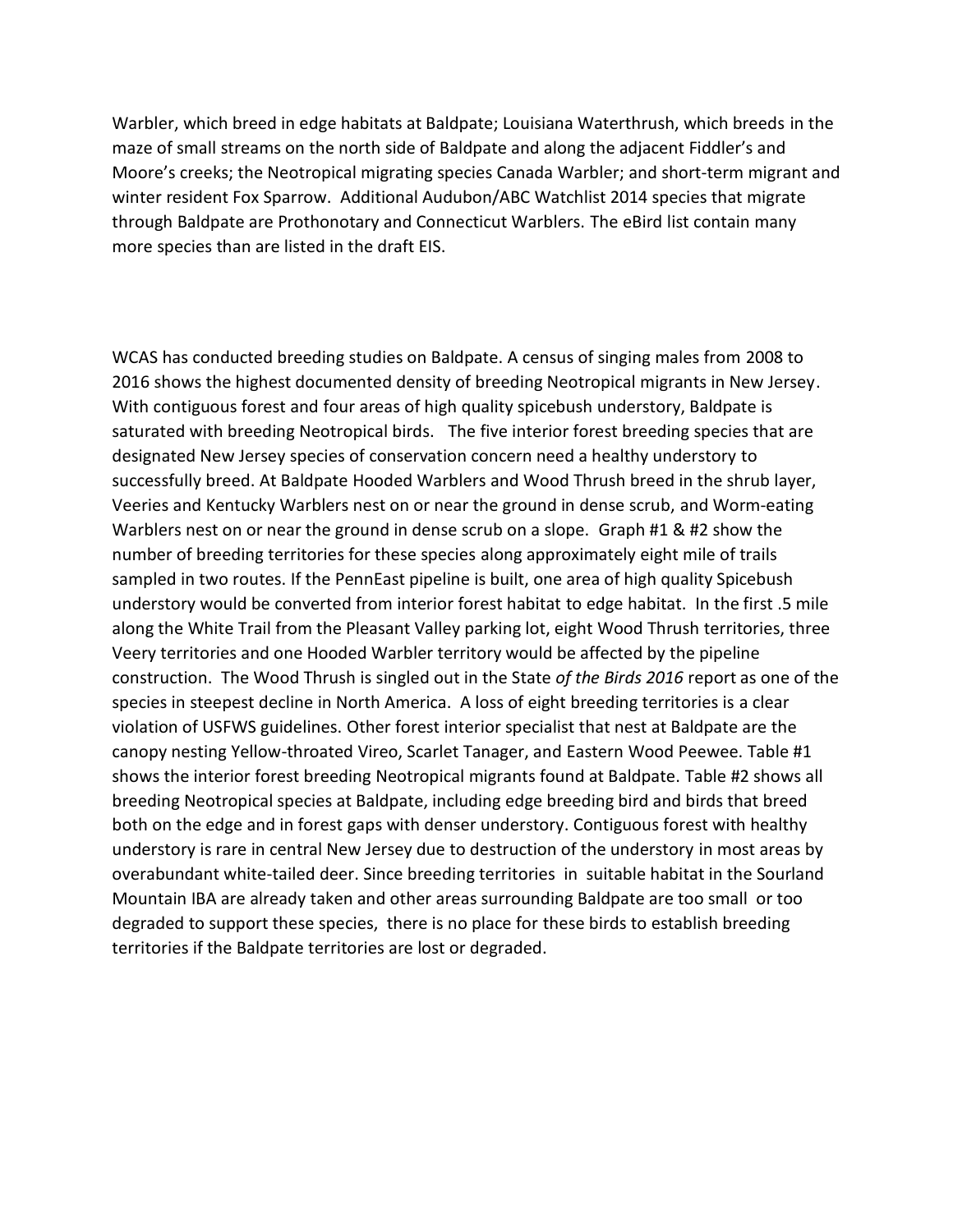Warbler, which breed in edge habitats at Baldpate; Louisiana Waterthrush, which breeds in the maze of small streams on the north side of Baldpate and along the adjacent Fiddler's and Moore's creeks; the Neotropical migrating species Canada Warbler; and short-term migrant and winter resident Fox Sparrow. Additional Audubon/ABC Watchlist 2014 species that migrate through Baldpate are Prothonotary and Connecticut Warblers. The eBird list contain many more species than are listed in the draft EIS.

WCAS has conducted breeding studies on Baldpate. A census of singing males from 2008 to 2016 shows the highest documented density of breeding Neotropical migrants in New Jersey. With contiguous forest and four areas of high quality spicebush understory, Baldpate is saturated with breeding Neotropical birds. The five interior forest breeding species that are designated New Jersey species of conservation concern need a healthy understory to successfully breed. At Baldpate Hooded Warblers and Wood Thrush breed in the shrub layer, Veeries and Kentucky Warblers nest on or near the ground in dense scrub, and Worm-eating Warblers nest on or near the ground in dense scrub on a slope. Graph #1 & #2 show the number of breeding territories for these species along approximately eight mile of trails sampled in two routes. If the PennEast pipeline is built, one area of high quality Spicebush understory would be converted from interior forest habitat to edge habitat. In the first .5 mile along the White Trail from the Pleasant Valley parking lot, eight Wood Thrush territories, three Veery territories and one Hooded Warbler territory would be affected by the pipeline construction. The Wood Thrush is singled out in the State *of the Birds 2016* report as one of the species in steepest decline in North America. A loss of eight breeding territories is a clear violation of USFWS guidelines. Other forest interior specialist that nest at Baldpate are the canopy nesting Yellow-throated Vireo, Scarlet Tanager, and Eastern Wood Peewee. Table #1 shows the interior forest breeding Neotropical migrants found at Baldpate. Table #2 shows all breeding Neotropical species at Baldpate, including edge breeding bird and birds that breed both on the edge and in forest gaps with denser understory. Contiguous forest with healthy understory is rare in central New Jersey due to destruction of the understory in most areas by overabundant white-tailed deer. Since breeding territories in suitable habitat in the Sourland Mountain IBA are already taken and other areas surrounding Baldpate are too small or too degraded to support these species, there is no place for these birds to establish breeding territories if the Baldpate territories are lost or degraded.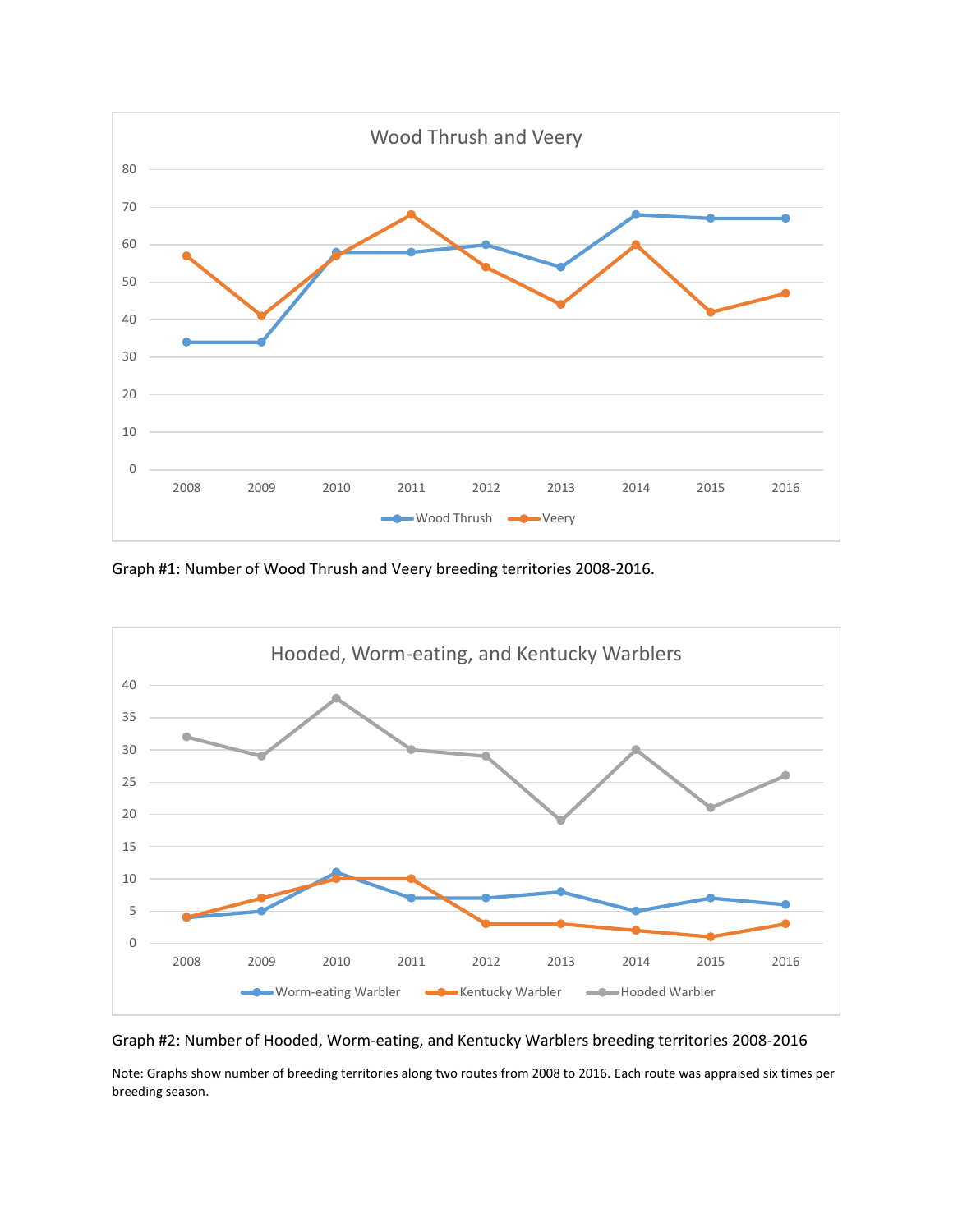

Graph #1: Number of Wood Thrush and Veery breeding territories 2008-2016.



Graph #2: Number of Hooded, Worm-eating, and Kentucky Warblers breeding territories 2008-2016

Note: Graphs show number of breeding territories along two routes from 2008 to 2016. Each route was appraised six times per breeding season.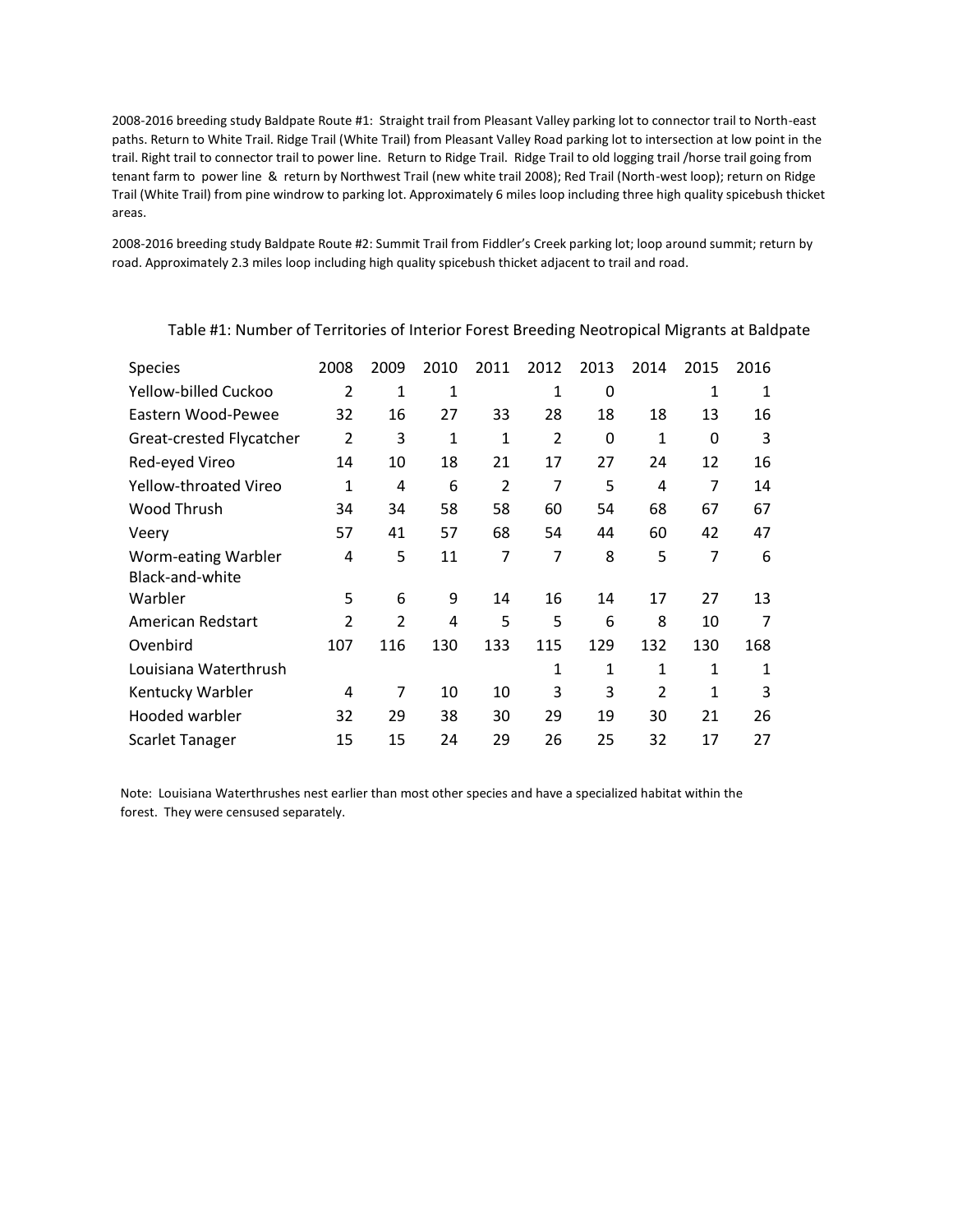2008-2016 breeding study Baldpate Route #1: Straight trail from Pleasant Valley parking lot to connector trail to North-east paths. Return to White Trail. Ridge Trail (White Trail) from Pleasant Valley Road parking lot to intersection at low point in the trail. Right trail to connector trail to power line. Return to Ridge Trail. Ridge Trail to old logging trail /horse trail going from tenant farm to power line & return by Northwest Trail (new white trail 2008); Red Trail (North-west loop); return on Ridge Trail (White Trail) from pine windrow to parking lot. Approximately 6 miles loop including three high quality spicebush thicket areas.

2008-2016 breeding study Baldpate Route #2: Summit Trail from Fiddler's Creek parking lot; loop around summit; return by road. Approximately 2.3 miles loop including high quality spicebush thicket adjacent to trail and road.

| <b>Species</b>               | 2008           | 2009           | 2010 | 2011           | 2012           | 2013 | 2014           | 2015 | 2016 |
|------------------------------|----------------|----------------|------|----------------|----------------|------|----------------|------|------|
| Yellow-billed Cuckoo         | $\overline{2}$ | 1              | 1    |                | 1              | 0    |                | 1    | 1    |
| Eastern Wood-Pewee           | 32             | 16             | 27   | 33             | 28             | 18   | 18             | 13   | 16   |
| Great-crested Flycatcher     | $\overline{2}$ | 3              | 1    | 1              | $\overline{2}$ | 0    | 1              | 0    | 3    |
| Red-eyed Vireo               | 14             | 10             | 18   | 21             | 17             | 27   | 24             | 12   | 16   |
| <b>Yellow-throated Vireo</b> | 1              | 4              | 6    | $\overline{2}$ | 7              | 5    | 4              | 7    | 14   |
| Wood Thrush                  | 34             | 34             | 58   | 58             | 60             | 54   | 68             | 67   | 67   |
| Veery                        | 57             | 41             | 57   | 68             | 54             | 44   | 60             | 42   | 47   |
| Worm-eating Warbler          | 4              | 5              | 11   | 7              | 7              | 8    | 5              | 7    | 6    |
| Black-and-white              |                |                |      |                |                |      |                |      |      |
| Warbler                      | 5              | 6              | 9    | 14             | 16             | 14   | 17             | 27   | 13   |
| American Redstart            | $\overline{2}$ | $\overline{2}$ | 4    | 5              | 5              | 6    | 8              | 10   | 7    |
| Ovenbird                     | 107            | 116            | 130  | 133            | 115            | 129  | 132            | 130  | 168  |
| Louisiana Waterthrush        |                |                |      |                | 1              | 1    | 1              | 1    | 1    |
| Kentucky Warbler             | 4              | 7              | 10   | 10             | 3              | 3    | $\overline{2}$ | 1    | 3    |
| Hooded warbler               | 32             | 29             | 38   | 30             | 29             | 19   | 30             | 21   | 26   |
| Scarlet Tanager              | 15             | 15             | 24   | 29             | 26             | 25   | 32             | 17   | 27   |

Table #1: Number of Territories of Interior Forest Breeding Neotropical Migrants at Baldpate

Note: Louisiana Waterthrushes nest earlier than most other species and have a specialized habitat within the forest. They were censused separately.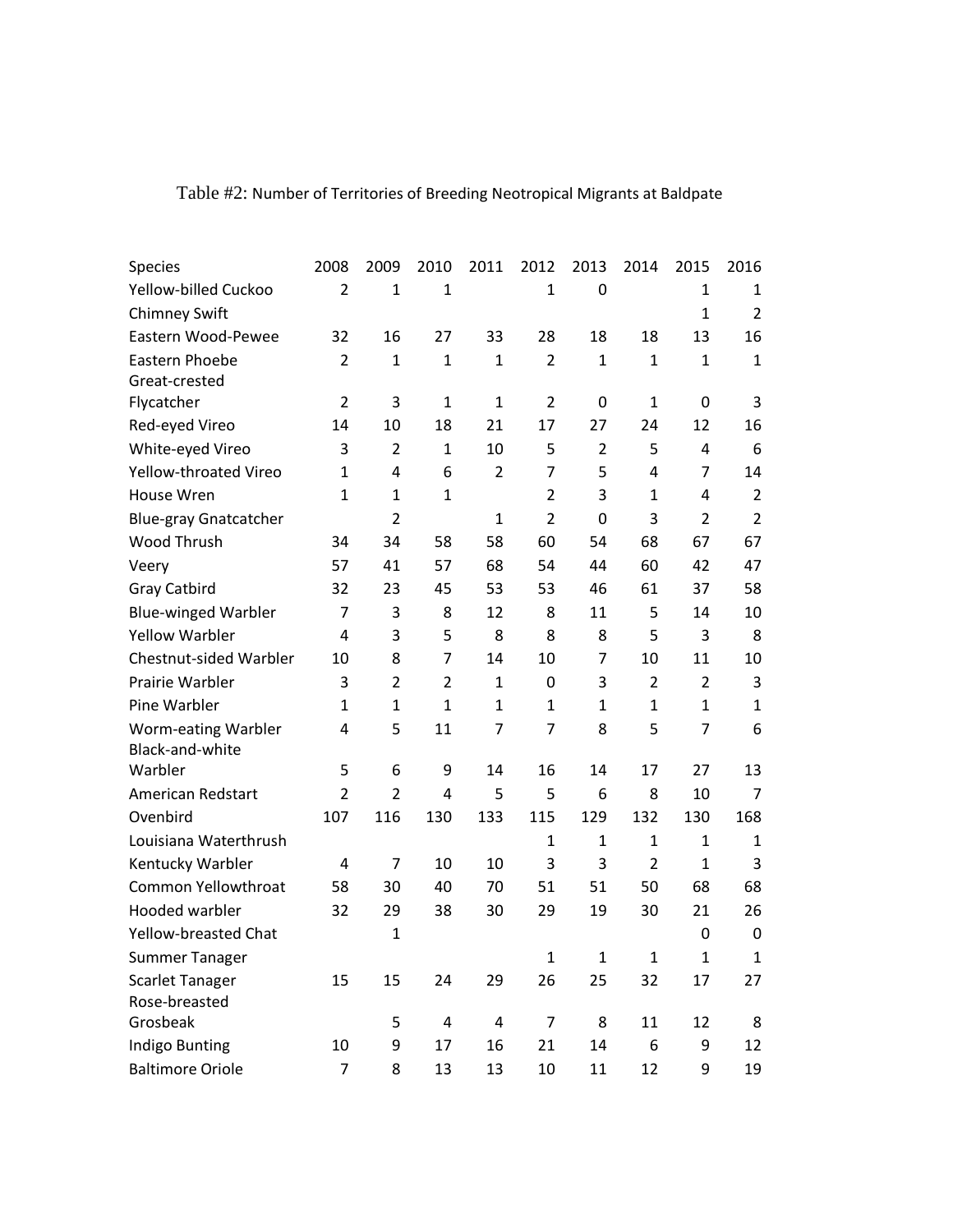| Species                      | 2008           | 2009           | 2010           | 2011           | 2012           | 2013           | 2014           | 2015           | 2016           |
|------------------------------|----------------|----------------|----------------|----------------|----------------|----------------|----------------|----------------|----------------|
| Yellow-billed Cuckoo         | $\overline{2}$ | $\mathbf{1}$   | $\mathbf{1}$   |                | $\mathbf{1}$   | 0              |                | $\mathbf 1$    | 1              |
| <b>Chimney Swift</b>         |                |                |                |                |                |                |                | $\mathbf{1}$   | $\overline{2}$ |
| Eastern Wood-Pewee           | 32             | 16             | 27             | 33             | 28             | 18             | 18             | 13             | 16             |
| Eastern Phoebe               | $\overline{2}$ | $\mathbf{1}$   | $\mathbf{1}$   | $\mathbf{1}$   | $\overline{2}$ | $\mathbf{1}$   | $\mathbf{1}$   | $\mathbf{1}$   | $\mathbf{1}$   |
| Great-crested                |                |                |                |                |                |                |                |                |                |
| Flycatcher                   | $\overline{2}$ | 3              | $\mathbf{1}$   | $\mathbf 1$    | $\overline{2}$ | 0              | $\mathbf{1}$   | 0              | 3              |
| Red-eyed Vireo               | 14             | 10             | 18             | 21             | 17             | 27             | 24             | 12             | 16             |
| White-eyed Vireo             | 3              | $\overline{2}$ | $\mathbf{1}$   | 10             | 5              | $\overline{2}$ | 5              | 4              | 6              |
| Yellow-throated Vireo        | $\mathbf{1}$   | 4              | 6              | $\overline{2}$ | $\overline{7}$ | 5              | 4              | $\overline{7}$ | 14             |
| House Wren                   | $\mathbf{1}$   | $\mathbf{1}$   | $\mathbf{1}$   |                | $\overline{2}$ | 3              | $\mathbf{1}$   | 4              | $\overline{2}$ |
| <b>Blue-gray Gnatcatcher</b> |                | $\overline{2}$ |                | $\mathbf 1$    | $\overline{2}$ | $\mathbf 0$    | 3              | $\overline{2}$ | $\overline{2}$ |
| Wood Thrush                  | 34             | 34             | 58             | 58             | 60             | 54             | 68             | 67             | 67             |
| Veery                        | 57             | 41             | 57             | 68             | 54             | 44             | 60             | 42             | 47             |
| <b>Gray Catbird</b>          | 32             | 23             | 45             | 53             | 53             | 46             | 61             | 37             | 58             |
| <b>Blue-winged Warbler</b>   | $\overline{7}$ | 3              | 8              | 12             | 8              | 11             | 5              | 14             | 10             |
| <b>Yellow Warbler</b>        | 4              | 3              | 5              | 8              | 8              | 8              | 5              | 3              | 8              |
| Chestnut-sided Warbler       | 10             | 8              | $\overline{7}$ | 14             | 10             | 7              | 10             | 11             | 10             |
| Prairie Warbler              | 3              | $\overline{2}$ | $\overline{2}$ | $\mathbf{1}$   | 0              | 3              | $\overline{2}$ | $\overline{2}$ | 3              |
| Pine Warbler                 | $\mathbf{1}$   | $\mathbf{1}$   | $\mathbf{1}$   | $\mathbf{1}$   | $\mathbf{1}$   | $\mathbf{1}$   | $\mathbf{1}$   | $\mathbf{1}$   | $\mathbf{1}$   |
| Worm-eating Warbler          | 4              | 5              | 11             | 7              | 7              | 8              | 5              | $\overline{7}$ | 6              |
| Black-and-white              |                |                |                |                |                |                |                |                |                |
| Warbler                      | 5              | 6              | 9              | 14             | 16             | 14             | 17             | 27             | 13             |
| American Redstart            | $\overline{2}$ | $\overline{2}$ | 4              | 5              | 5              | 6              | 8              | 10             | 7              |
| Ovenbird                     | 107            | 116            | 130            | 133            | 115            | 129            | 132            | 130            | 168            |
| Louisiana Waterthrush        |                |                |                |                | $\mathbf{1}$   | $\mathbf{1}$   | $\mathbf{1}$   | $\mathbf 1$    | 1              |
| Kentucky Warbler             | 4              | $\overline{7}$ | 10             | 10             | 3              | 3              | $\overline{2}$ | $\mathbf{1}$   | 3              |
| Common Yellowthroat          | 58             | 30             | 40             | 70             | 51             | 51             | 50             | 68             | 68             |
| Hooded warbler               | 32             | 29             | 38             | 30             | 29             | 19             | 30             | 21             | 26             |
| Yellow-breasted Chat         |                | $\mathbf{1}$   |                |                |                |                |                | 0              | $\mathbf 0$    |
| <b>Summer Tanager</b>        |                |                |                |                | $\mathbf{1}$   | $\mathbf{1}$   | $\mathbf{1}$   | $\mathbf{1}$   | $\mathbf{1}$   |
| <b>Scarlet Tanager</b>       | 15             | 15             | 24             | 29             | 26             | 25             | 32             | 17             | 27             |
| Rose-breasted                |                |                |                |                |                |                |                |                |                |
| Grosbeak                     |                | 5              | 4              | 4              | $\overline{7}$ | 8              | 11             | 12             | 8              |
| Indigo Bunting               | 10             | 9              | 17             | 16             | 21             | 14             | 6              | 9              | 12             |
| <b>Baltimore Oriole</b>      | $\overline{7}$ | 8              | 13             | 13             | $10\,$         | 11             | 12             | 9              | 19             |

## Table #2: Number of Territories of Breeding Neotropical Migrants at Baldpate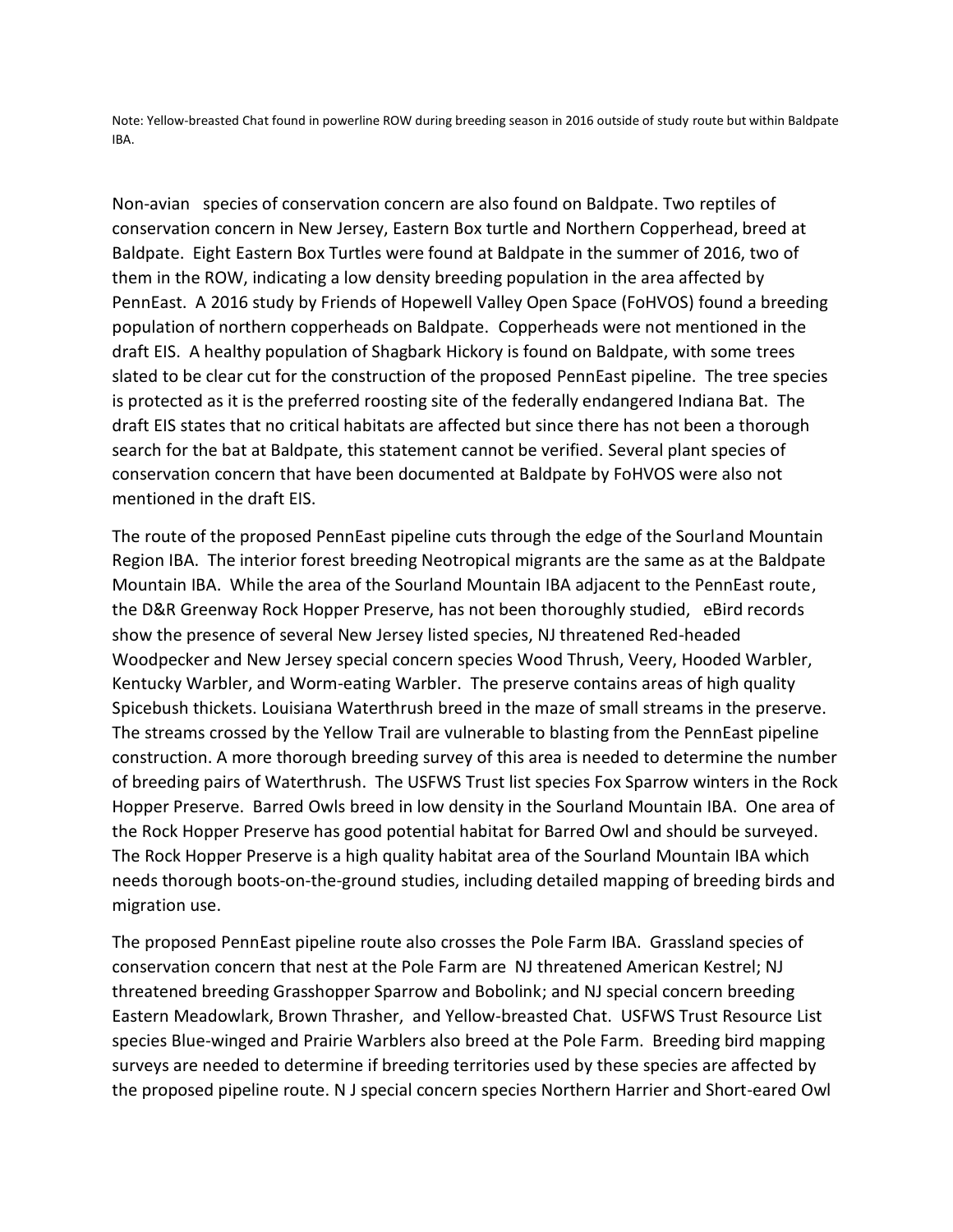Note: Yellow-breasted Chat found in powerline ROW during breeding season in 2016 outside of study route but within Baldpate IBA.

Non-avian species of conservation concern are also found on Baldpate. Two reptiles of conservation concern in New Jersey, Eastern Box turtle and Northern Copperhead, breed at Baldpate. Eight Eastern Box Turtles were found at Baldpate in the summer of 2016, two of them in the ROW, indicating a low density breeding population in the area affected by PennEast. A 2016 study by Friends of Hopewell Valley Open Space (FoHVOS) found a breeding population of northern copperheads on Baldpate. Copperheads were not mentioned in the draft EIS. A healthy population of Shagbark Hickory is found on Baldpate, with some trees slated to be clear cut for the construction of the proposed PennEast pipeline. The tree species is protected as it is the preferred roosting site of the federally endangered Indiana Bat. The draft EIS states that no critical habitats are affected but since there has not been a thorough search for the bat at Baldpate, this statement cannot be verified. Several plant species of conservation concern that have been documented at Baldpate by FoHVOS were also not mentioned in the draft EIS.

The route of the proposed PennEast pipeline cuts through the edge of the Sourland Mountain Region IBA. The interior forest breeding Neotropical migrants are the same as at the Baldpate Mountain IBA. While the area of the Sourland Mountain IBA adjacent to the PennEast route, the D&R Greenway Rock Hopper Preserve, has not been thoroughly studied, eBird records show the presence of several New Jersey listed species, NJ threatened Red-headed Woodpecker and New Jersey special concern species Wood Thrush, Veery, Hooded Warbler, Kentucky Warbler, and Worm-eating Warbler. The preserve contains areas of high quality Spicebush thickets. Louisiana Waterthrush breed in the maze of small streams in the preserve. The streams crossed by the Yellow Trail are vulnerable to blasting from the PennEast pipeline construction. A more thorough breeding survey of this area is needed to determine the number of breeding pairs of Waterthrush. The USFWS Trust list species Fox Sparrow winters in the Rock Hopper Preserve. Barred Owls breed in low density in the Sourland Mountain IBA. One area of the Rock Hopper Preserve has good potential habitat for Barred Owl and should be surveyed. The Rock Hopper Preserve is a high quality habitat area of the Sourland Mountain IBA which needs thorough boots-on-the-ground studies, including detailed mapping of breeding birds and migration use.

The proposed PennEast pipeline route also crosses the Pole Farm IBA. Grassland species of conservation concern that nest at the Pole Farm are NJ threatened American Kestrel; NJ threatened breeding Grasshopper Sparrow and Bobolink; and NJ special concern breeding Eastern Meadowlark, Brown Thrasher, and Yellow-breasted Chat. USFWS Trust Resource List species Blue-winged and Prairie Warblers also breed at the Pole Farm. Breeding bird mapping surveys are needed to determine if breeding territories used by these species are affected by the proposed pipeline route. N J special concern species Northern Harrier and Short-eared Owl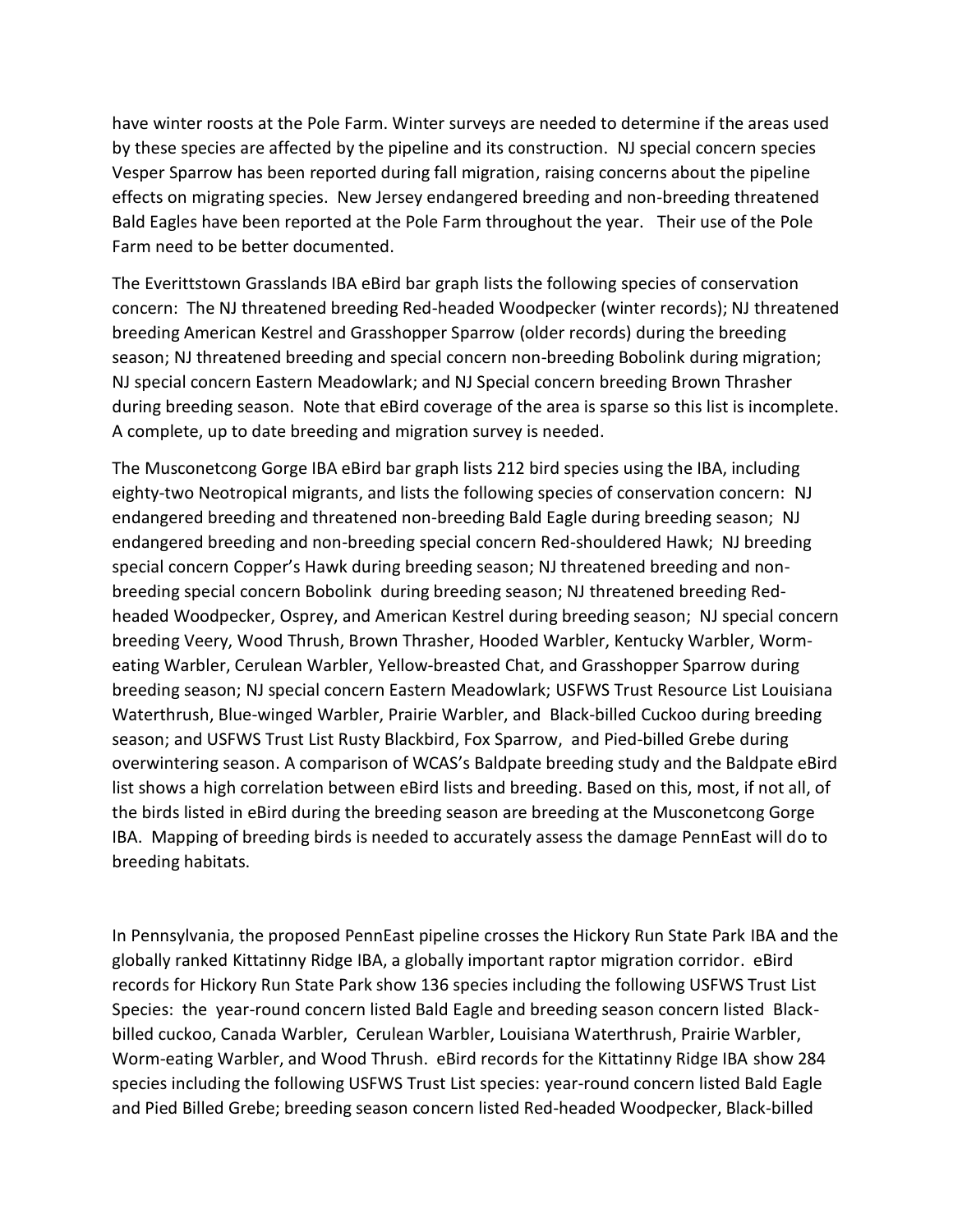have winter roosts at the Pole Farm. Winter surveys are needed to determine if the areas used by these species are affected by the pipeline and its construction. NJ special concern species Vesper Sparrow has been reported during fall migration, raising concerns about the pipeline effects on migrating species. New Jersey endangered breeding and non-breeding threatened Bald Eagles have been reported at the Pole Farm throughout the year. Their use of the Pole Farm need to be better documented.

The Everittstown Grasslands IBA eBird bar graph lists the following species of conservation concern: The NJ threatened breeding Red-headed Woodpecker (winter records); NJ threatened breeding American Kestrel and Grasshopper Sparrow (older records) during the breeding season; NJ threatened breeding and special concern non-breeding Bobolink during migration; NJ special concern Eastern Meadowlark; and NJ Special concern breeding Brown Thrasher during breeding season. Note that eBird coverage of the area is sparse so this list is incomplete. A complete, up to date breeding and migration survey is needed.

The Musconetcong Gorge IBA eBird bar graph lists 212 bird species using the IBA, including eighty-two Neotropical migrants, and lists the following species of conservation concern: NJ endangered breeding and threatened non-breeding Bald Eagle during breeding season; NJ endangered breeding and non-breeding special concern Red-shouldered Hawk; NJ breeding special concern Copper's Hawk during breeding season; NJ threatened breeding and nonbreeding special concern Bobolink during breeding season; NJ threatened breeding Redheaded Woodpecker, Osprey, and American Kestrel during breeding season; NJ special concern breeding Veery, Wood Thrush, Brown Thrasher, Hooded Warbler, Kentucky Warbler, Wormeating Warbler, Cerulean Warbler, Yellow-breasted Chat, and Grasshopper Sparrow during breeding season; NJ special concern Eastern Meadowlark; USFWS Trust Resource List Louisiana Waterthrush, Blue-winged Warbler, Prairie Warbler, and Black-billed Cuckoo during breeding season; and USFWS Trust List Rusty Blackbird, Fox Sparrow, and Pied-billed Grebe during overwintering season. A comparison of WCAS's Baldpate breeding study and the Baldpate eBird list shows a high correlation between eBird lists and breeding. Based on this, most, if not all, of the birds listed in eBird during the breeding season are breeding at the Musconetcong Gorge IBA. Mapping of breeding birds is needed to accurately assess the damage PennEast will do to breeding habitats.

In Pennsylvania, the proposed PennEast pipeline crosses the Hickory Run State Park IBA and the globally ranked Kittatinny Ridge IBA, a globally important raptor migration corridor. eBird records for Hickory Run State Park show 136 species including the following USFWS Trust List Species: the year-round concern listed Bald Eagle and breeding season concern listed Blackbilled cuckoo, Canada Warbler, Cerulean Warbler, Louisiana Waterthrush, Prairie Warbler, Worm-eating Warbler, and Wood Thrush. eBird records for the Kittatinny Ridge IBA show 284 species including the following USFWS Trust List species: year-round concern listed Bald Eagle and Pied Billed Grebe; breeding season concern listed Red-headed Woodpecker, Black-billed